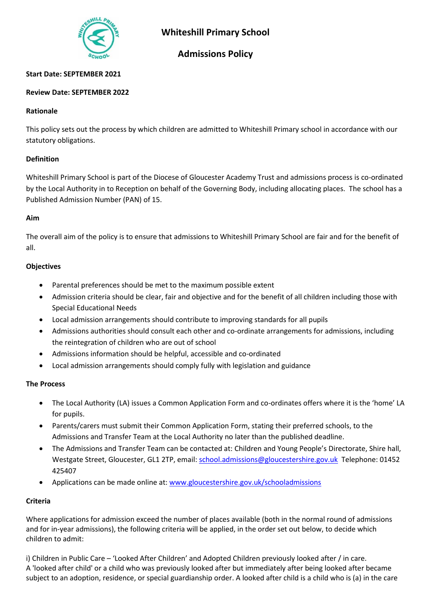

# **Whiteshill Primary School**

## **Admissions Policy**

## **Start Date: SEPTEMBER 2021**

## **Review Date: SEPTEMBER 2022**

#### **Rationale**

This policy sets out the process by which children are admitted to Whiteshill Primary school in accordance with our statutory obligations.

#### **Definition**

Whiteshill Primary School is part of the Diocese of Gloucester Academy Trust and admissions process is co-ordinated by the Local Authority in to Reception on behalf of the Governing Body, including allocating places. The school has a Published Admission Number (PAN) of 15.

#### **Aim**

The overall aim of the policy is to ensure that admissions to Whiteshill Primary School are fair and for the benefit of all.

#### **Objectives**

- Parental preferences should be met to the maximum possible extent
- Admission criteria should be clear, fair and objective and for the benefit of all children including those with Special Educational Needs
- Local admission arrangements should contribute to improving standards for all pupils
- Admissions authorities should consult each other and co-ordinate arrangements for admissions, including the reintegration of children who are out of school
- Admissions information should be helpful, accessible and co-ordinated
- Local admission arrangements should comply fully with legislation and guidance

#### **The Process**

- The Local Authority (LA) issues a Common Application Form and co-ordinates offers where it is the 'home' LA for pupils.
- Parents/carers must submit their Common Application Form, stating their preferred schools, to the Admissions and Transfer Team at the Local Authority no later than the published deadline.
- The Admissions and Transfer Team can be contacted at: Children and Young People's Directorate, Shire hall, Westgate Street, Gloucester, GL1 2TP, email: [school.admissions@gloucestershire.gov.uk](mailto:school.admissions@gloucestershire.gov.uk) Telephone: 01452 425407
- Applications can be made online at: [www.gloucestershire.gov.uk/schooladmissions](http://www.gloucestershire.gov.uk/schooladmissions)

## **Criteria**

Where applications for admission exceed the number of places available (both in the normal round of admissions and for in-year admissions), the following criteria will be applied, in the order set out below, to decide which children to admit:

i) Children in Public Care – 'Looked After Children' and Adopted Children previously looked after / in care. A 'looked after child' or a child who was previously looked after but immediately after being looked after became subject to an adoption, residence, or special guardianship order. A looked after child is a child who is (a) in the care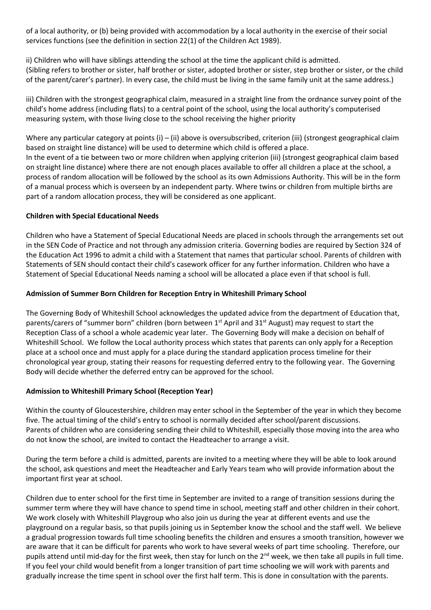of a local authority, or (b) being provided with accommodation by a local authority in the exercise of their social services functions (see the definition in section 22(1) of the Children Act 1989).

ii) Children who will have siblings attending the school at the time the applicant child is admitted. (Sibling refers to brother or sister, half brother or sister, adopted brother or sister, step brother or sister, or the child of the parent/carer's partner). In every case, the child must be living in the same family unit at the same address.)

iii) Children with the strongest geographical claim, measured in a straight line from the ordnance survey point of the child's home address (including flats) to a central point of the school, using the local authority's computerised measuring system, with those living close to the school receiving the higher priority

Where any particular category at points (i) – (ii) above is oversubscribed, criterion (iii) (strongest geographical claim based on straight line distance) will be used to determine which child is offered a place.

In the event of a tie between two or more children when applying criterion (iii) (strongest geographical claim based on straight line distance) where there are not enough places available to offer all children a place at the school, a process of random allocation will be followed by the school as its own Admissions Authority. This will be in the form of a manual process which is overseen by an independent party. Where twins or children from multiple births are part of a random allocation process, they will be considered as one applicant.

## **Children with Special Educational Needs**

Children who have a Statement of Special Educational Needs are placed in schools through the arrangements set out in the SEN Code of Practice and not through any admission criteria. Governing bodies are required by Section 324 of the Education Act 1996 to admit a child with a Statement that names that particular school. Parents of children with Statements of SEN should contact their child's casework officer for any further information. Children who have a Statement of Special Educational Needs naming a school will be allocated a place even if that school is full.

## **Admission of Summer Born Children for Reception Entry in Whiteshill Primary School**

The Governing Body of Whiteshill School acknowledges the updated advice from the department of Education that, parents/carers of "summer born" children (born between 1<sup>st</sup> April and 31<sup>st</sup> August) may request to start the Reception Class of a school a whole academic year later. The Governing Body will make a decision on behalf of Whiteshill School. We follow the Local authority process which states that parents can only apply for a Reception place at a school once and must apply for a place during the standard application process timeline for their chronological year group, stating their reasons for requesting deferred entry to the following year. The Governing Body will decide whether the deferred entry can be approved for the school.

## **Admission to Whiteshill Primary School (Reception Year)**

Within the county of Gloucestershire, children may enter school in the September of the year in which they become five. The actual timing of the child's entry to school is normally decided after school/parent discussions. Parents of children who are considering sending their child to Whiteshill, especially those moving into the area who do not know the school, are invited to contact the Headteacher to arrange a visit.

During the term before a child is admitted, parents are invited to a meeting where they will be able to look around the school, ask questions and meet the Headteacher and Early Years team who will provide information about the important first year at school.

Children due to enter school for the first time in September are invited to a range of transition sessions during the summer term where they will have chance to spend time in school, meeting staff and other children in their cohort. We work closely with Whiteshill Playgroup who also join us during the year at different events and use the playground on a regular basis, so that pupils joining us in September know the school and the staff well. We believe a gradual progression towards full time schooling benefits the children and ensures a smooth transition, however we are aware that it can be difficult for parents who work to have several weeks of part time schooling. Therefore, our pupils attend until mid-day for the first week, then stay for lunch on the 2<sup>nd</sup> week, we then take all pupils in full time. If you feel your child would benefit from a longer transition of part time schooling we will work with parents and gradually increase the time spent in school over the first half term. This is done in consultation with the parents.